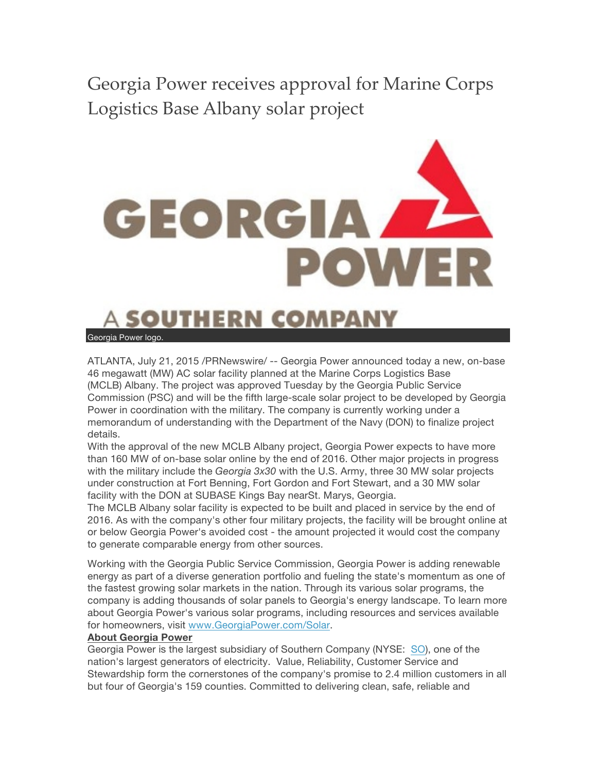Georgia Power receives approval for Marine Corps Logistics Base Albany solar project



## **SOUTHERN COMPAN**

Georgia Power logo.

ATLANTA, July 21, 2015 /PRNewswire/ -- Georgia Power announced today a new, on-base 46 megawatt (MW) AC solar facility planned at the Marine Corps Logistics Base (MCLB) Albany. The project was approved Tuesday by the Georgia Public Service Commission (PSC) and will be the fifth large-scale solar project to be developed by Georgia Power in coordination with the military. The company is currently working under a memorandum of understanding with the Department of the Navy (DON) to finalize project details.

With the approval of the new MCLB Albany project, Georgia Power expects to have more than 160 MW of on-base solar online by the end of 2016. Other major projects in progress with the military include the *Georgia 3x30* with the U.S. Army, three 30 MW solar projects under construction at Fort Benning, Fort Gordon and Fort Stewart, and a 30 MW solar facility with the DON at SUBASE Kings Bay nearSt. Marys, Georgia.

The MCLB Albany solar facility is expected to be built and placed in service by the end of 2016. As with the company's other four military projects, the facility will be brought online at or below Georgia Power's avoided cost - the amount projected it would cost the company to generate comparable energy from other sources.

Working with the Georgia Public Service Commission, Georgia Power is adding renewable energy as part of a diverse generation portfolio and fueling the state's momentum as one of the fastest growing solar markets in the nation. Through its various solar programs, the company is adding thousands of solar panels to Georgia's energy landscape. To learn more about Georgia Power's various solar programs, including resources and services available for homeowners, visit www.GeorgiaPower.com/Solar.

## **About Georgia Power**

Georgia Power is the largest subsidiary of Southern Company (NYSE: SO), one of the nation's largest generators of electricity. Value, Reliability, Customer Service and Stewardship form the cornerstones of the company's promise to 2.4 million customers in all but four of Georgia's 159 counties. Committed to delivering clean, safe, reliable and